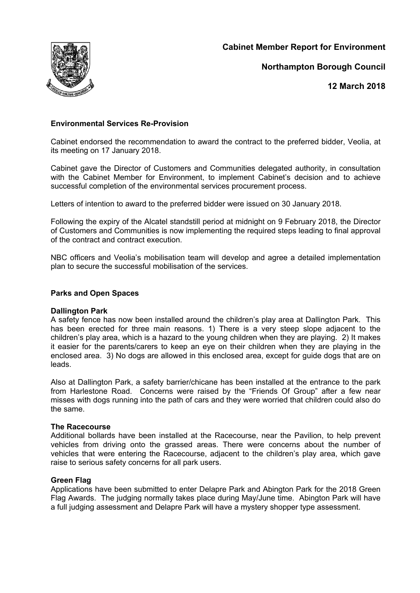**Cabinet Member Report for Environment**



**Northampton Borough Council**

**12 March 2018**

# **Environmental Services Re-Provision**

Cabinet endorsed the recommendation to award the contract to the preferred bidder, Veolia, at its meeting on 17 January 2018.

Cabinet gave the Director of Customers and Communities delegated authority, in consultation with the Cabinet Member for Environment, to implement Cabinet's decision and to achieve successful completion of the environmental services procurement process.

Letters of intention to award to the preferred bidder were issued on 30 January 2018.

Following the expiry of the Alcatel standstill period at midnight on 9 February 2018, the Director of Customers and Communities is now implementing the required steps leading to final approval of the contract and contract execution.

NBC officers and Veolia's mobilisation team will develop and agree a detailed implementation plan to secure the successful mobilisation of the services.

### **Parks and Open Spaces**

#### **Dallington Park**

A safety fence has now been installed around the children's play area at Dallington Park. This has been erected for three main reasons. 1) There is a very steep slope adjacent to the children's play area, which is a hazard to the young children when they are playing. 2) It makes it easier for the parents/carers to keep an eye on their children when they are playing in the enclosed area. 3) No dogs are allowed in this enclosed area, except for guide dogs that are on leads.

Also at Dallington Park, a safety barrier/chicane has been installed at the entrance to the park from Harlestone Road. Concerns were raised by the "Friends Of Group" after a few near misses with dogs running into the path of cars and they were worried that children could also do the same.

#### **The Racecourse**

Additional bollards have been installed at the Racecourse, near the Pavilion, to help prevent vehicles from driving onto the grassed areas. There were concerns about the number of vehicles that were entering the Racecourse, adjacent to the children's play area, which gave raise to serious safety concerns for all park users.

## **Green Flag**

Applications have been submitted to enter Delapre Park and Abington Park for the 2018 Green Flag Awards. The judging normally takes place during May/June time. Abington Park will have a full judging assessment and Delapre Park will have a mystery shopper type assessment.